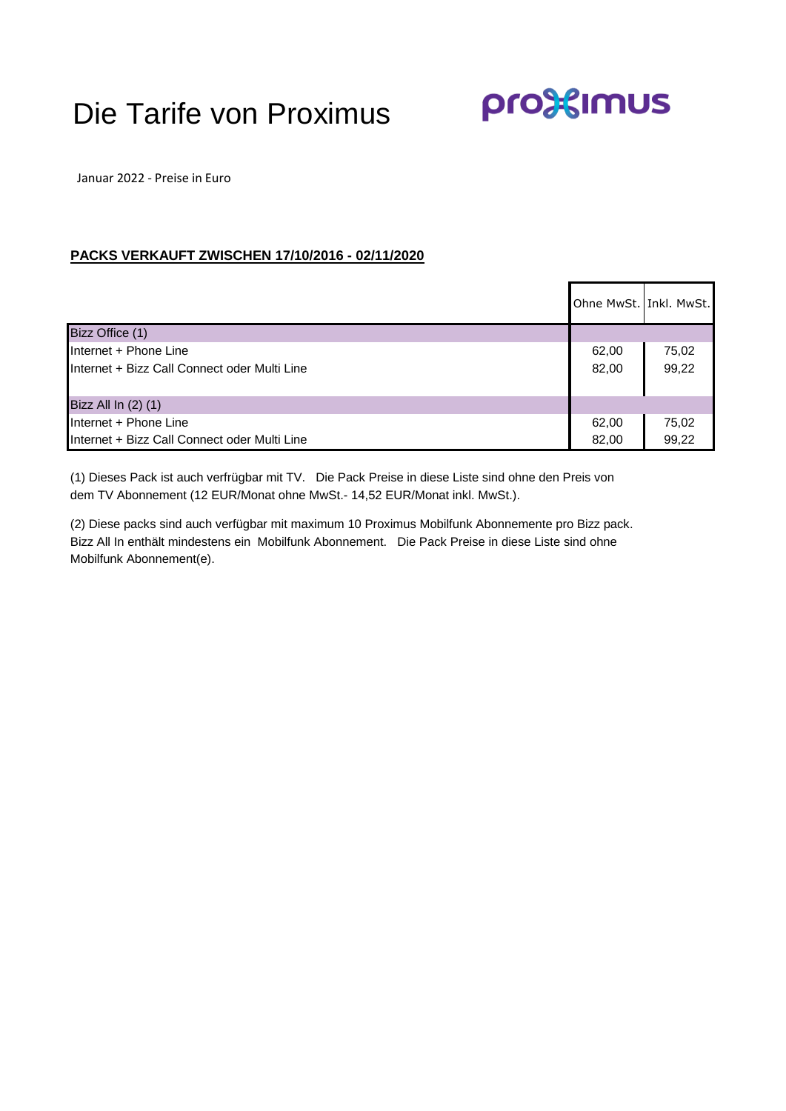## Die Tarife von Proximus

pro<sup>3</sup> sumus

Januar 2022 - Preise in Euro

## **PACKS VERKAUFT ZWISCHEN 17/10/2016 - 02/11/2020**

|                                                                       | Ohne MwSt. Inkl. MwSt. |                |
|-----------------------------------------------------------------------|------------------------|----------------|
| Bizz Office (1)                                                       |                        |                |
| Internet + Phone Line<br>Internet + Bizz Call Connect oder Multi Line | 62,00<br>82,00         | 75,02<br>99,22 |
| Bizz All In (2) (1)                                                   |                        |                |
| Internet + Phone Line<br>Internet + Bizz Call Connect oder Multi Line | 62,00<br>82,00         | 75,02<br>99,22 |

(1) Dieses Pack ist auch verfrügbar mit TV. Die Pack Preise in diese Liste sind ohne den Preis von dem TV Abonnement (12 EUR/Monat ohne MwSt.- 14,52 EUR/Monat inkl. MwSt.).

(2) Diese packs sind auch verfügbar mit maximum 10 Proximus Mobilfunk Abonnemente pro Bizz pack. Bizz All In enthält mindestens ein Mobilfunk Abonnement. Die Pack Preise in diese Liste sind ohne Mobilfunk Abonnement(e).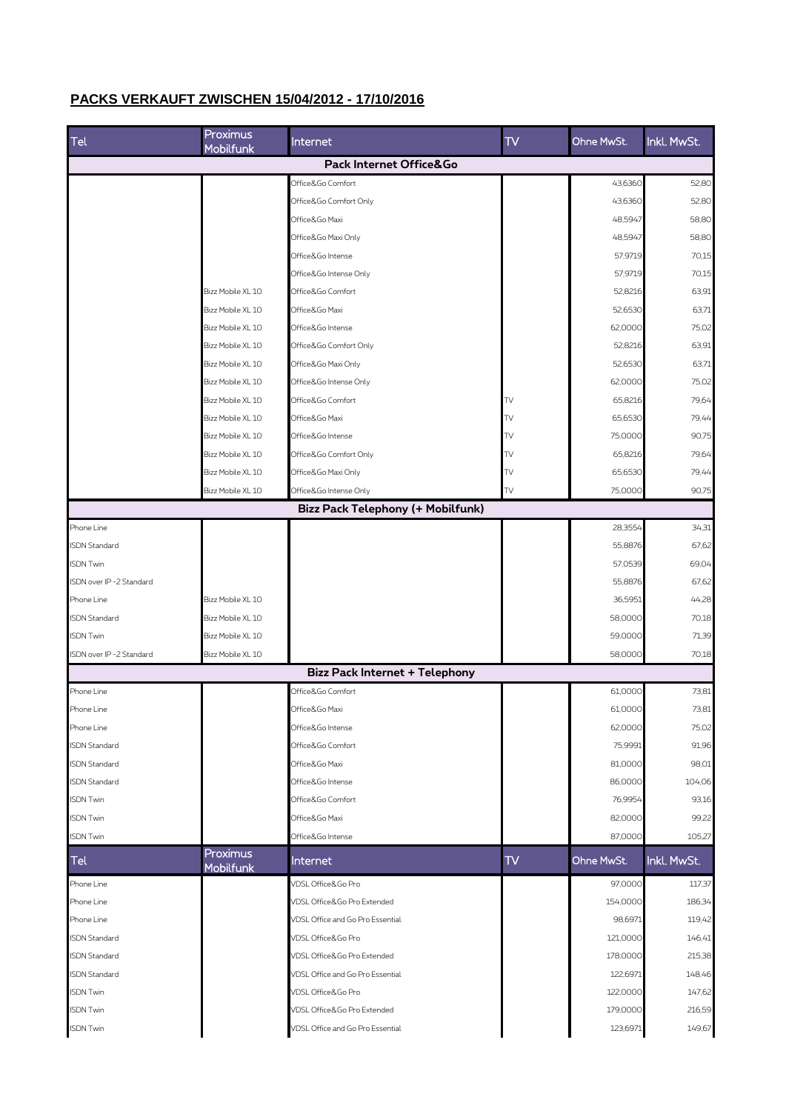## **PACKS VERKAUFT ZWISCHEN 15/04/2012 - 17/10/2016**

| Tel                      | Proximus<br>Mobilfunk | Internet                              | TV  | Ohne MwSt. | Inkl. MwSt. |
|--------------------------|-----------------------|---------------------------------------|-----|------------|-------------|
|                          |                       | Pack Internet Office&Go               |     |            |             |
|                          |                       | Office&Go Comfort                     |     | 43,6360    | 52,80       |
|                          |                       | Office&Go Comfort Only                |     | 43,6360    | 52,80       |
|                          |                       | Office&Go Maxi                        |     | 48,5947    | 58,80       |
|                          |                       | Office&Go Maxi Only                   |     | 48,5947    | 58,80       |
|                          |                       | Office&Go Intense                     |     | 57,9719    | 70,15       |
|                          |                       | Office&Go Intense Only                |     | 57,9719    | 70,15       |
|                          | Bizz Mobile XL 10     | Office&Go Comfort                     |     | 52,8216    | 63,91       |
|                          | Bizz Mobile XL 10     | Office&Go Maxi                        |     | 52,6530    | 63,71       |
|                          | Bizz Mobile XL 10     | Office&Go Intense                     |     | 62,0000    | 75,02       |
|                          | Bizz Mobile XL 10     | Office&Go Comfort Only                |     | 52,8216    | 63,91       |
|                          | Bizz Mobile XL 10     | Office&Go Maxi Only                   |     | 52,6530    | 63,71       |
|                          | Bizz Mobile XL 10     | Office&Go Intense Only                |     | 62,0000    | 75,02       |
|                          | Bizz Mobile XL 10     | Office&Go Comfort                     | TV  | 65.8216    | 79,64       |
|                          | Bizz Mobile XL 10     | Office&Go Maxi                        | TV  | 65,6530    | 79,44       |
|                          | Bizz Mobile XL 10     | Office&Go Intense                     | TV  | 75,0000    | 90,75       |
|                          | Bizz Mobile XL 10     | Office&Go Comfort Only                | TV  | 65,8216    | 79,64       |
|                          | Bizz Mobile XL 10     | Office&Go Maxi Only                   | TV  | 65,6530    | 79,44       |
|                          | Bizz Mobile XL 10     | Office&Go Intense Only                | TV  | 75,0000    | 90,75       |
|                          |                       | Bizz Pack Telephony (+ Mobilfunk)     |     |            |             |
| Phone Line               |                       |                                       |     | 28,3554    | 34,31       |
| <b>ISDN Standard</b>     |                       |                                       |     | 55,8876    | 67,62       |
| <b>ISDN Twin</b>         |                       |                                       |     | 57,0539    | 69,04       |
| ISDN over IP -2 Standard |                       |                                       |     | 55,8876    | 67,62       |
| Phone Line               | Bizz Mobile XL 10     |                                       |     | 36,5951    | 44,28       |
| <b>ISDN Standard</b>     | Bizz Mobile XL 10     |                                       |     | 58,0000    | 70,18       |
| <b>ISDN Twin</b>         | Bizz Mobile XL 10     |                                       |     | 59,0000    | 71,39       |
| ISDN over IP -2 Standard | Bizz Mobile XL 10     |                                       |     | 58,0000    | 70,18       |
|                          |                       | <b>Bizz Pack Internet + Telephony</b> |     |            |             |
| Phone Line               |                       | Office&Go Comfort                     |     | 61,0000    | 73,81       |
| Phone Line               |                       | Office&Go Maxi                        |     | 61,0000    | 73,81       |
| Phone Line               |                       | Office&Go Intense                     |     | 62,0000    | 75,02       |
| <b>ISDN Standard</b>     |                       | Office&Go Comfort                     |     | 75,9991    | 91,96       |
| <b>ISDN Standard</b>     |                       | Office&Go Maxi                        |     | 81,0000    | 98,01       |
| <b>ISDN Standard</b>     |                       | Office&Go Intense                     |     | 86,0000    | 104,06      |
| <b>ISDN Twin</b>         |                       | Office&Go Comfort                     |     | 76,9954    | 93,16       |
| <b>ISDN Twin</b>         |                       | Office&Go Maxi                        |     | 82,0000    | 99,22       |
| <b>ISDN Twin</b>         |                       | Office&Go Intense                     |     | 87,0000    | 105,27      |
|                          | Proximus              |                                       |     |            |             |
| Tel                      | Mobilfunk             | Internet                              | TV. | Ohne MwSt. | Inkl. MwSt. |
| Phone Line               |                       | VDSL Office&Go Pro                    |     | 97,0000    | 117,37      |
| Phone Line               |                       | VDSL Office&Go Pro Extended           |     | 154,0000   | 186,34      |
| Phone Line               |                       | VDSL Office and Go Pro Essential      |     | 98,6971    | 119,42      |
| <b>ISDN Standard</b>     |                       | VDSL Office&Go Pro                    |     | 121,0000   | 146,41      |
| <b>ISDN Standard</b>     |                       | VDSL Office&Go Pro Extended           |     | 178,0000   | 215,38      |
| <b>ISDN Standard</b>     |                       | VDSL Office and Go Pro Essential      |     | 122,6971   | 148,46      |
| <b>ISDN Twin</b>         |                       | VDSL Office&Go Pro                    |     | 122,0000   | 147,62      |
| <b>ISDN Twin</b>         |                       | VDSL Office&Go Pro Extended           |     | 179,0000   | 216,59      |
| <b>ISDN Twin</b>         |                       | VDSL Office and Go Pro Essential      |     | 123,6971   | 149,67      |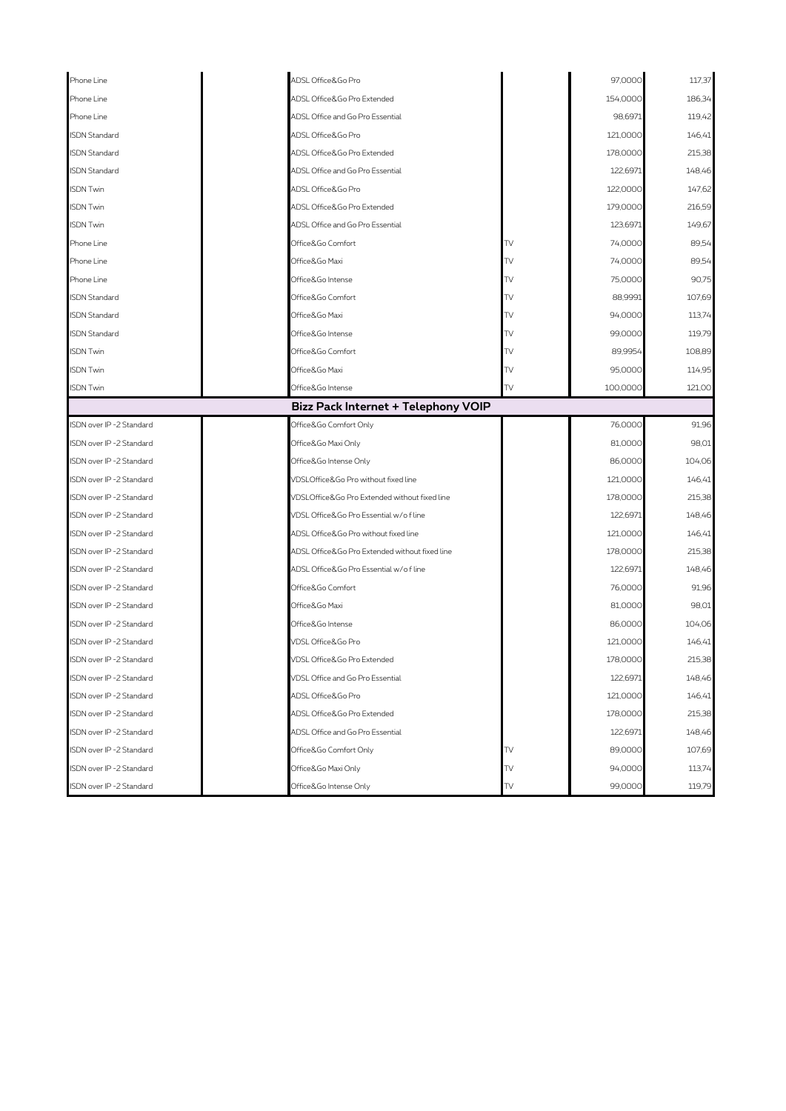| Phone Line                          |                        | ADSL Office&Go Pro                             |     | 97,0000  | 117,37 |  |
|-------------------------------------|------------------------|------------------------------------------------|-----|----------|--------|--|
| Phone Line                          |                        | ADSL Office&Go Pro Extended                    |     | 154,0000 | 186,34 |  |
| Phone Line                          |                        | ADSL Office and Go Pro Essential               |     | 98,6971  | 119,42 |  |
| <b>ISDN Standard</b>                |                        | ADSL Office&Go Pro                             |     | 121,0000 | 146,41 |  |
| <b>ISDN Standard</b>                |                        | ADSL Office&Go Pro Extended                    |     | 178,0000 | 215,38 |  |
| <b>ISDN Standard</b>                |                        | ADSL Office and Go Pro Essential               |     | 122,6971 | 148,46 |  |
| <b>ISDN Twin</b>                    |                        | ADSL Office&Go Pro                             |     | 122,0000 | 147,62 |  |
| <b>ISDN Twin</b>                    |                        | ADSL Office&Go Pro Extended                    |     | 179,0000 | 216,59 |  |
| <b>ISDN Twin</b>                    |                        | ADSL Office and Go Pro Essential               |     | 123,6971 | 149,67 |  |
| Phone Line                          |                        | Office&Go Comfort                              | TV  | 74,0000  | 89,54  |  |
| Phone Line                          |                        | Office&Go Maxi                                 | TV  | 74,0000  | 89,54  |  |
| Phone Line                          |                        | Office&Go Intense                              | TV  | 75,0000  | 90,75  |  |
| <b>ISDN Standard</b>                |                        | Office&Go Comfort                              | TV. | 88,9991  | 107,69 |  |
| <b>ISDN Standard</b>                |                        | Office&Go Maxi                                 | TV  | 94,0000  | 113,74 |  |
| <b>ISDN Standard</b>                |                        | Office&Go Intense                              | TV  | 99,0000  | 119,79 |  |
| <b>ISDN Twin</b>                    |                        | Office&Go Comfort                              | TV  | 89,9954  | 108,89 |  |
| <b>ISDN Twin</b>                    |                        | Office&Go Maxi                                 | TV  | 95,0000  | 114,95 |  |
| <b>ISDN Twin</b>                    |                        | TV<br>Office&Go Intense                        |     | 100,0000 | 121,00 |  |
| Bizz Pack Internet + Telephony VOIP |                        |                                                |     |          |        |  |
| ISDN over IP -2 Standard            |                        | Office&Go Comfort Only                         |     | 76,0000  | 91,96  |  |
| ISDN over IP -2 Standard            |                        | Office&Go Maxi Only                            |     | 81,0000  | 98,01  |  |
| ISDN over IP -2 Standard            |                        | Office&Go Intense Only                         |     | 86,0000  | 104,06 |  |
| ISDN over IP -2 Standard            |                        | VDSLOffice&Go Pro without fixed line           |     | 121,0000 | 146,41 |  |
| ISDN over IP -2 Standard            |                        | VDSLOffice&Go Pro Extended without fixed line  |     | 178,0000 | 215,38 |  |
| ISDN over IP -2 Standard            |                        | VDSL Office&Go Pro Essential w/ofline          |     | 122,6971 | 148,46 |  |
| ISDN over IP -2 Standard            |                        | ADSL Office&Go Pro without fixed line          |     | 121,0000 | 146,41 |  |
| ISDN over IP -2 Standard            |                        | ADSL Office&Go Pro Extended without fixed line |     | 178,0000 | 215,38 |  |
| ISDN over IP -2 Standard            |                        | ADSL Office&Go Pro Essential w/of line         |     | 122,6971 | 148,46 |  |
| ISDN over IP -2 Standard            |                        | Office&Go Comfort                              |     | 76,0000  | 91,96  |  |
| ISDN over IP -2 Standard            |                        | Office&Go Maxi                                 |     | 81,0000  | 98,01  |  |
| ISDN over IP -2 Standard            |                        | Office&Go Intense                              |     | 86,0000  | 104,06 |  |
| ISDN over IP -2 Standard            |                        | VDSL Office&Go Pro                             |     | 121,0000 | 146,41 |  |
| ISDN over IP -2 Standard            |                        | VDSL Office&Go Pro Extended                    |     | 178,0000 | 215,38 |  |
| ISDN over IP -2 Standard            |                        | VDSL Office and Go Pro Essential               |     | 122,6971 | 148,46 |  |
| ISDN over IP -2 Standard            |                        | ADSL Office&Go Pro                             |     | 121,0000 | 146,41 |  |
| ISDN over IP -2 Standard            |                        | ADSL Office&Go Pro Extended                    |     | 178,0000 | 215,38 |  |
| ISDN over IP -2 Standard            |                        | ADSL Office and Go Pro Essential               |     | 122,6971 | 148,46 |  |
| ISDN over IP -2 Standard            |                        | Office&Go Comfort Only                         | TV  | 89,0000  | 107,69 |  |
| ISDN over IP -2 Standard            |                        | Office&Go Maxi Only                            | TV  | 94,0000  | 113,74 |  |
| ISDN over IP -2 Standard            | Office&Go Intense Only |                                                | TV  | 99,0000  | 119,79 |  |